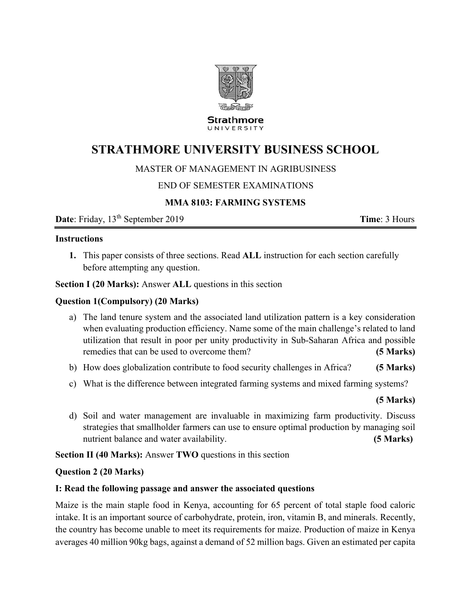

**Strathmore** UNIVERSITY

# **STRATHMORE UNIVERSITY BUSINESS SCHOOL**

# MASTER OF MANAGEMENT IN AGRIBUSINESS

# END OF SEMESTER EXAMINATIONS

# **MMA 8103: FARMING SYSTEMS**

**Date**: Friday, 13<sup>th</sup> September 2019 **Time**: 3 Hours

#### **Instructions**

**1.** This paper consists of three sections. Read **ALL** instruction for each section carefully before attempting any question.

**Section I (20 Marks):** Answer **ALL** questions in this section

### **Question 1(Compulsory) (20 Marks)**

- a) The land tenure system and the associated land utilization pattern is a key consideration when evaluating production efficiency. Name some of the main challenge's related to land utilization that result in poor per unity productivity in Sub-Saharan Africa and possible remedies that can be used to overcome them? **(5 Marks)**
- b) How does globalization contribute to food security challenges in Africa? **(5 Marks)**
- c) What is the difference between integrated farming systems and mixed farming systems?

### **(5 Marks)**

d) Soil and water management are invaluable in maximizing farm productivity. Discuss strategies that smallholder farmers can use to ensure optimal production by managing soil nutrient balance and water availability. **(5 Marks)**

**Section II (40 Marks):** Answer **TWO** questions in this section

### **Question 2 (20 Marks)**

### **I: Read the following passage and answer the associated questions**

Maize is the main staple food in Kenya, accounting for 65 percent of total staple food caloric intake. It is an important source of carbohydrate, protein, iron, vitamin B, and minerals. Recently, the country has become unable to meet its requirements for maize. Production of maize in Kenya averages 40 million 90kg bags, against a demand of 52 million bags. Given an estimated per capita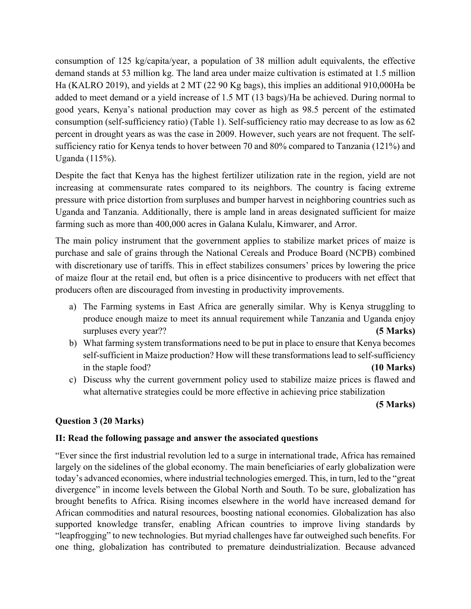consumption of 125 kg/capita/year, a population of 38 million adult equivalents, the effective demand stands at 53 million kg. The land area under maize cultivation is estimated at 1.5 million Ha (KALRO 2019), and yields at 2 MT (22 90 Kg bags), this implies an additional 910,000Ha be added to meet demand or a yield increase of 1.5 MT (13 bags)/Ha be achieved. During normal to good years, Kenya's national production may cover as high as 98.5 percent of the estimated consumption (self-sufficiency ratio) (Table 1). Self-sufficiency ratio may decrease to as low as 62 percent in drought years as was the case in 2009. However, such years are not frequent. The selfsufficiency ratio for Kenya tends to hover between 70 and 80% compared to Tanzania (121%) and Uganda (115%).

Despite the fact that Kenya has the highest fertilizer utilization rate in the region, yield are not increasing at commensurate rates compared to its neighbors. The country is facing extreme pressure with price distortion from surpluses and bumper harvest in neighboring countries such as Uganda and Tanzania. Additionally, there is ample land in areas designated sufficient for maize farming such as more than 400,000 acres in Galana Kulalu, Kimwarer, and Arror.

The main policy instrument that the government applies to stabilize market prices of maize is purchase and sale of grains through the National Cereals and Produce Board (NCPB) combined with discretionary use of tariffs. This in effect stabilizes consumers' prices by lowering the price of maize flour at the retail end, but often is a price disincentive to producers with net effect that producers often are discouraged from investing in productivity improvements.

- a) The Farming systems in East Africa are generally similar. Why is Kenya struggling to produce enough maize to meet its annual requirement while Tanzania and Uganda enjoy surpluses every year?? **(5 Marks)**
- b) What farming system transformations need to be put in place to ensure that Kenya becomes self-sufficient in Maize production? How will these transformations lead to self-sufficiency in the staple food? **(10 Marks)**
- c) Discuss why the current government policy used to stabilize maize prices is flawed and what alternative strategies could be more effective in achieving price stabilization

**(5 Marks)** 

# **Question 3 (20 Marks)**

# **II: Read the following passage and answer the associated questions**

"Ever since the first industrial revolution led to a surge in international trade, Africa has remained largely on the sidelines of the global economy. The main beneficiaries of early globalization were today's advanced economies, where industrial technologies emerged. This, in turn, led to the "great divergence" in income levels between the Global North and South. To be sure, globalization has brought benefits to Africa. Rising incomes elsewhere in the world have increased demand for African commodities and natural resources, boosting national economies. Globalization has also supported knowledge transfer, enabling African countries to improve living standards by "leapfrogging" to new technologies. But myriad challenges have far outweighed such benefits. For one thing, globalization has contributed to premature deindustrialization. Because advanced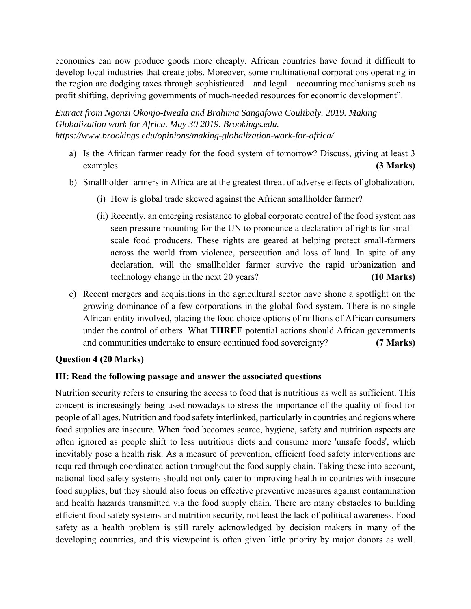economies can now produce goods more cheaply, African countries have found it difficult to develop local industries that create jobs. Moreover, some multinational corporations operating in the region are dodging taxes through sophisticated—and legal—accounting mechanisms such as profit shifting, depriving governments of much-needed resources for economic development".

*Extract from Ngonzi Okonjo-Iweala and Brahima Sangafowa Coulibaly. 2019. Making Globalization work for Africa. May 30 2019. Brookings.edu. https://www.brookings.edu/opinions/making-globalization-work-for-africa/*

- a) Is the African farmer ready for the food system of tomorrow? Discuss, giving at least 3 examples **(3 Marks)**
- b) Smallholder farmers in Africa are at the greatest threat of adverse effects of globalization.
	- (i) How is global trade skewed against the African smallholder farmer?
	- (ii) Recently, an emerging resistance to global corporate control of the food system has seen pressure mounting for the UN to pronounce a declaration of rights for smallscale food producers. These rights are geared at helping protect small-farmers across the world from violence, persecution and loss of land. In spite of any declaration, will the smallholder farmer survive the rapid urbanization and technology change in the next 20 years? **(10 Marks)**
- c) Recent mergers and acquisitions in the agricultural sector have shone a spotlight on the growing dominance of a few corporations in the global food system. There is no single African entity involved, placing the food choice options of millions of African consumers under the control of others. What **THREE** potential actions should African governments and communities undertake to ensure continued food sovereignty? **(7 Marks)**

# **Question 4 (20 Marks)**

### **III: Read the following passage and answer the associated questions**

Nutrition security refers to ensuring the access to food that is nutritious as well as sufficient. This concept is increasingly being used nowadays to stress the importance of the quality of food for people of all ages. Nutrition and food safety interlinked, particularly in countries and regions where food supplies are insecure. When food becomes scarce, hygiene, safety and nutrition aspects are often ignored as people shift to less nutritious diets and consume more 'unsafe foods', which inevitably pose a health risk. As a measure of prevention, efficient food safety interventions are required through coordinated action throughout the food supply chain. Taking these into account, national food safety systems should not only cater to improving health in countries with insecure food supplies, but they should also focus on effective preventive measures against contamination and health hazards transmitted via the food supply chain. There are many obstacles to building efficient food safety systems and nutrition security, not least the lack of political awareness. Food safety as a health problem is still rarely acknowledged by decision makers in many of the developing countries, and this viewpoint is often given little priority by major donors as well.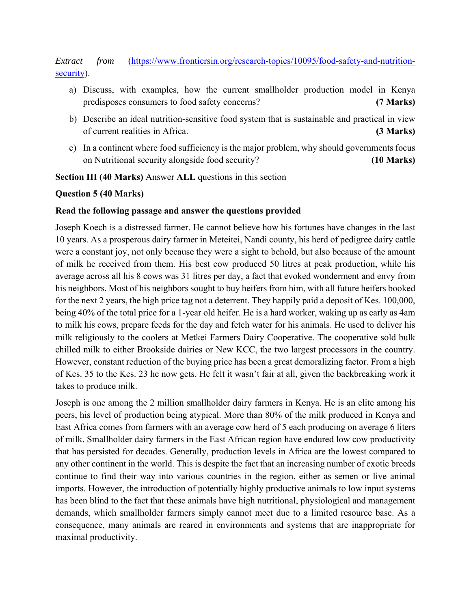# *Extract from* (https://www.frontiersin.org/research-topics/10095/food-safety-and-nutritionsecurity).

- a) Discuss, with examples, how the current smallholder production model in Kenya predisposes consumers to food safety concerns? **(7 Marks)**
- b) Describe an ideal nutrition-sensitive food system that is sustainable and practical in view of current realities in Africa. **(3 Marks)**
- c) In a continent where food sufficiency is the major problem, why should governments focus on Nutritional security alongside food security? **(10 Marks)**

# **Section III (40 Marks)** Answer **ALL** questions in this section

### **Question 5 (40 Marks)**

### **Read the following passage and answer the questions provided**

Joseph Koech is a distressed farmer. He cannot believe how his fortunes have changes in the last 10 years. As a prosperous dairy farmer in Meteitei, Nandi county, his herd of pedigree dairy cattle were a constant joy, not only because they were a sight to behold, but also because of the amount of milk he received from them. His best cow produced 50 litres at peak production, while his average across all his 8 cows was 31 litres per day, a fact that evoked wonderment and envy from his neighbors. Most of his neighbors sought to buy heifers from him, with all future heifers booked for the next 2 years, the high price tag not a deterrent. They happily paid a deposit of Kes. 100,000, being 40% of the total price for a 1-year old heifer. He is a hard worker, waking up as early as 4am to milk his cows, prepare feeds for the day and fetch water for his animals. He used to deliver his milk religiously to the coolers at Metkei Farmers Dairy Cooperative. The cooperative sold bulk chilled milk to either Brookside dairies or New KCC, the two largest processors in the country. However, constant reduction of the buying price has been a great demoralizing factor. From a high of Kes. 35 to the Kes. 23 he now gets. He felt it wasn't fair at all, given the backbreaking work it takes to produce milk.

Joseph is one among the 2 million smallholder dairy farmers in Kenya. He is an elite among his peers, his level of production being atypical. More than 80% of the milk produced in Kenya and East Africa comes from farmers with an average cow herd of 5 each producing on average 6 liters of milk. Smallholder dairy farmers in the East African region have endured low cow productivity that has persisted for decades. Generally, production levels in Africa are the lowest compared to any other continent in the world. This is despite the fact that an increasing number of exotic breeds continue to find their way into various countries in the region, either as semen or live animal imports. However, the introduction of potentially highly productive animals to low input systems has been blind to the fact that these animals have high nutritional, physiological and management demands, which smallholder farmers simply cannot meet due to a limited resource base. As a consequence, many animals are reared in environments and systems that are inappropriate for maximal productivity.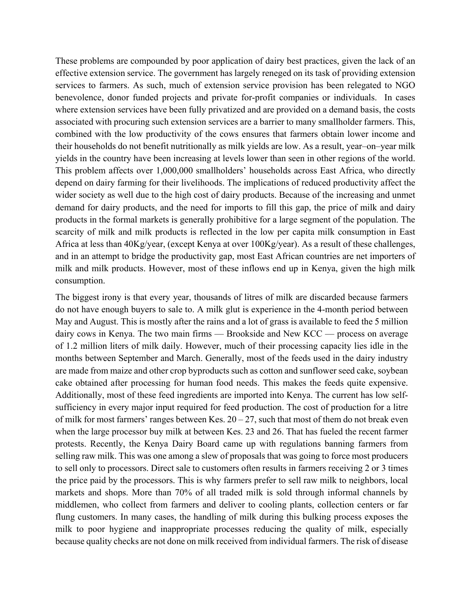These problems are compounded by poor application of dairy best practices, given the lack of an effective extension service. The government has largely reneged on its task of providing extension services to farmers. As such, much of extension service provision has been relegated to NGO benevolence, donor funded projects and private for-profit companies or individuals. In cases where extension services have been fully privatized and are provided on a demand basis, the costs associated with procuring such extension services are a barrier to many smallholder farmers. This, combined with the low productivity of the cows ensures that farmers obtain lower income and their households do not benefit nutritionally as milk yields are low. As a result, year–on–year milk yields in the country have been increasing at levels lower than seen in other regions of the world. This problem affects over 1,000,000 smallholders' households across East Africa, who directly depend on dairy farming for their livelihoods. The implications of reduced productivity affect the wider society as well due to the high cost of dairy products. Because of the increasing and unmet demand for dairy products, and the need for imports to fill this gap, the price of milk and dairy products in the formal markets is generally prohibitive for a large segment of the population. The scarcity of milk and milk products is reflected in the low per capita milk consumption in East Africa at less than 40Kg/year, (except Kenya at over 100Kg/year). As a result of these challenges, and in an attempt to bridge the productivity gap, most East African countries are net importers of milk and milk products. However, most of these inflows end up in Kenya, given the high milk consumption.

The biggest irony is that every year, thousands of litres of milk are discarded because farmers do not have enough buyers to sale to. A milk glut is experience in the 4-month period between May and August. This is mostly after the rains and a lot of grass is available to feed the 5 million dairy cows in Kenya. The two main firms — Brookside and New KCC — process on average of 1.2 million liters of milk daily. However, much of their processing capacity lies idle in the months between September and March. Generally, most of the feeds used in the dairy industry are made from maize and other crop byproducts such as cotton and sunflower seed cake, soybean cake obtained after processing for human food needs. This makes the feeds quite expensive. Additionally, most of these feed ingredients are imported into Kenya. The current has low selfsufficiency in every major input required for feed production. The cost of production for a litre of milk for most farmers' ranges between Kes.  $20 - 27$ , such that most of them do not break even when the large processor buy milk at between Kes. 23 and 26. That has fueled the recent farmer protests. Recently, the Kenya Dairy Board came up with regulations banning farmers from selling raw milk. This was one among a slew of proposals that was going to force most producers to sell only to processors. Direct sale to customers often results in farmers receiving 2 or 3 times the price paid by the processors. This is why farmers prefer to sell raw milk to neighbors, local markets and shops. More than 70% of all traded milk is sold through informal channels by middlemen, who collect from farmers and deliver to cooling plants, collection centers or far flung customers. In many cases, the handling of milk during this bulking process exposes the milk to poor hygiene and inappropriate processes reducing the quality of milk, especially because quality checks are not done on milk received from individual farmers. The risk of disease